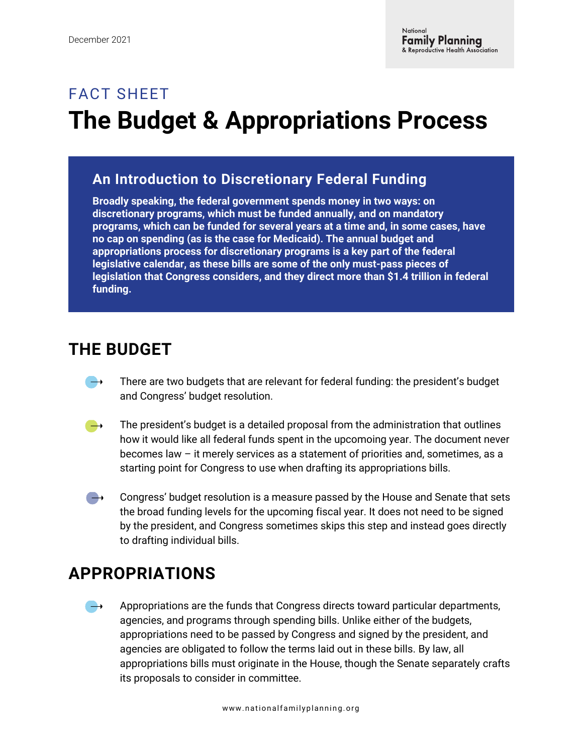# FACT SHEET **The Budget & Appropriations Process**

#### **An Introduction to Discretionary Federal Funding**

**Broadly speaking, the federal government spends money in two ways: on discretionary programs, which must be funded annually, and on mandatory programs, which can be funded for several years at a time and, in some cases, have no cap on spending (as is the case for Medicaid). The annual budget and appropriations process for discretionary programs is a key part of the federal legislative calendar, as these bills are some of the only must-pass pieces of legislation that Congress considers, and they direct more than \$1.4 trillion in federal funding.** 

## **THE BUDGET**

- There are two budgets that are relevant for federal funding: the president's budget  $\rightarrow$ and Congress' budget resolution.
- $\rightarrow$ The president's budget is a detailed proposal from the administration that outlines how it would like all federal funds spent in the upcomoing year. The document never becomes law – it merely services as a statement of priorities and, sometimes, as a starting point for Congress to use when drafting its appropriations bills.
- Congress' budget resolution is a measure passed by the House and Senate that sets  $\rightarrow$ the broad funding levels for the upcoming fiscal year. It does not need to be signed by the president, and Congress sometimes skips this step and instead goes directly to drafting individual bills.

## **APPROPRIATIONS**

Appropriations are the funds that Congress directs toward particular departments, agencies, and programs through spending bills. Unlike either of the budgets, appropriations need to be passed by Congress and signed by the president, and agencies are obligated to follow the terms laid out in these bills. By law, all appropriations bills must originate in the House, though the Senate separately crafts its proposals to consider in committee.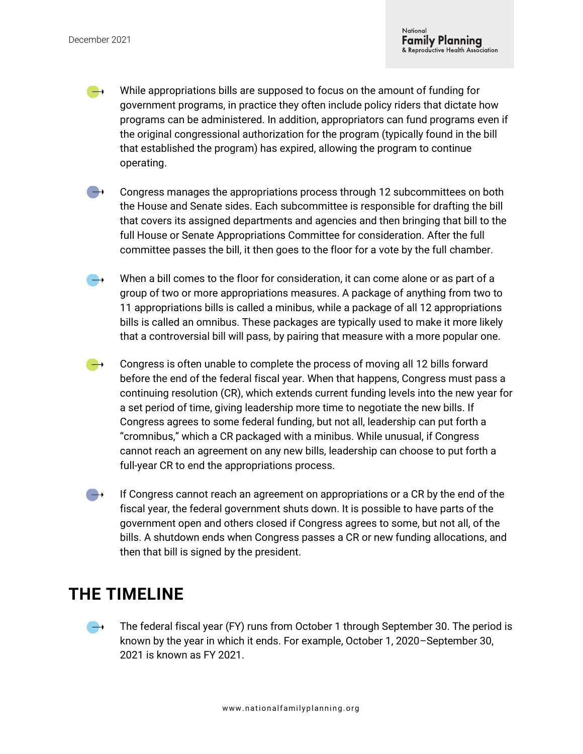- While appropriations bills are supposed to focus on the amount of funding for  $\rightarrow$ government programs, in practice they often include policy riders that dictate how programs can be administered. In addition, appropriators can fund programs even if the original congressional authorization for the program (typically found in the bill that established the program) has expired, allowing the program to continue operating.
- Congress manages the appropriations process through 12 subcommittees on both  $\rightarrow$ the House and Senate sides. Each subcommittee is responsible for drafting the bill that covers its assigned departments and agencies and then bringing that bill to the full House or Senate Appropriations Committee for consideration. After the full committee passes the bill, it then goes to the floor for a vote by the full chamber.
- When a bill comes to the floor for consideration, it can come alone or as part of a  $\rightarrow$ group of two or more appropriations measures. A package of anything from two to 11 appropriations bills is called a minibus, while a package of all 12 appropriations bills is called an omnibus. These packages are typically used to make it more likely that a controversial bill will pass, by pairing that measure with a more popular one.
- Congress is often unable to complete the process of moving all 12 bills forward  $\rightarrow$ before the end of the federal fiscal year. When that happens, Congress must pass a continuing resolution (CR), which extends current funding levels into the new year for a set period of time, giving leadership more time to negotiate the new bills. If Congress agrees to some federal funding, but not all, leadership can put forth a "cromnibus," which a CR packaged with a minibus. While unusual, if Congress cannot reach an agreement on any new bills, leadership can choose to put forth a full-year CR to end the appropriations process.
- If Congress cannot reach an agreement on appropriations or a CR by the end of the  $\rightarrow$ fiscal year, the federal government shuts down. It is possible to have parts of the government open and others closed if Congress agrees to some, but not all, of the bills. A shutdown ends when Congress passes a CR or new funding allocations, and then that bill is signed by the president.

#### **THE TIMELINE**

The federal fiscal year (FY) runs from October 1 through September 30. The period is **Take** known by the year in which it ends. For example, October 1, 2020–September 30, 2021 is known as FY 2021.